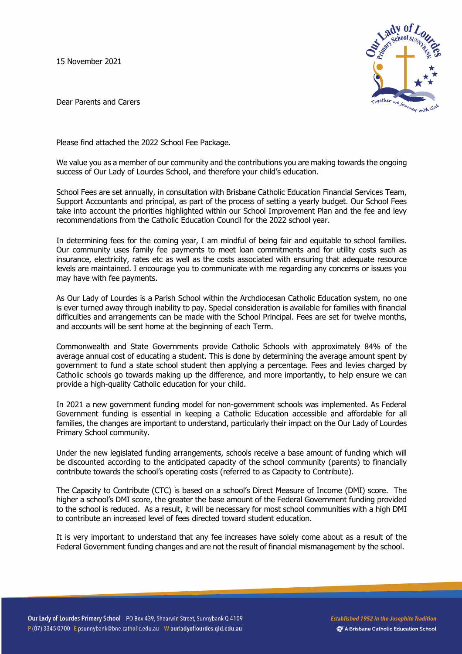15 November 2021



Dear Parents and Carers

Please find attached the 2022 School Fee Package.

We value you as a member of our community and the contributions you are making towards the ongoing success of Our Lady of Lourdes School, and therefore your child's education.

School Fees are set annually, in consultation with Brisbane Catholic Education Financial Services Team, Support Accountants and principal, as part of the process of setting a yearly budget. Our School Fees take into account the priorities highlighted within our School Improvement Plan and the fee and levy recommendations from the Catholic Education Council for the 2022 school year.

In determining fees for the coming year, I am mindful of being fair and equitable to school families. Our community uses family fee payments to meet loan commitments and for utility costs such as insurance, electricity, rates etc as well as the costs associated with ensuring that adequate resource levels are maintained. I encourage you to communicate with me regarding any concerns or issues you may have with fee payments.

As Our Lady of Lourdes is a Parish School within the Archdiocesan Catholic Education system, no one is ever turned away through inability to pay. Special consideration is available for families with financial difficulties and arrangements can be made with the School Principal. Fees are set for twelve months, and accounts will be sent home at the beginning of each Term.

Commonwealth and State Governments provide Catholic Schools with approximately 84% of the average annual cost of educating a student. This is done by determining the average amount spent by government to fund a state school student then applying a percentage. Fees and levies charged by Catholic schools go towards making up the difference, and more importantly, to help ensure we can provide a high-quality Catholic education for your child.

In 2021 a new government funding model for non-government schools was implemented. As Federal Government funding is essential in keeping a Catholic Education accessible and affordable for all families, the changes are important to understand, particularly their impact on the Our Lady of Lourdes Primary School community.

Under the new legislated funding arrangements, schools receive a base amount of funding which will be discounted according to the anticipated capacity of the school community (parents) to financially contribute towards the school's operating costs (referred to as Capacity to Contribute).

The Capacity to Contribute (CTC) is based on a school's Direct Measure of Income (DMI) score. The higher a school's DMI score, the greater the base amount of the Federal Government funding provided to the school is reduced. As a result, it will be necessary for most school communities with a high DMI to contribute an increased level of fees directed toward student education.

It is very important to understand that any fee increases have solely come about as a result of the Federal Government funding changes and are not the result of financial mismanagement by the school.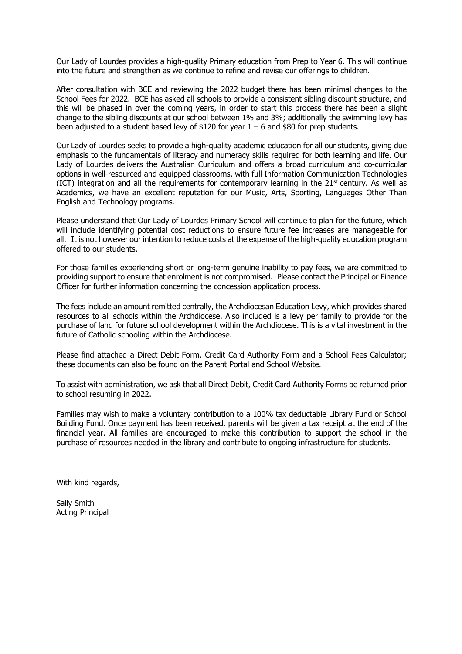Our Lady of Lourdes provides a high-quality Primary education from Prep to Year 6. This will continue into the future and strengthen as we continue to refine and revise our offerings to children.

After consultation with BCE and reviewing the 2022 budget there has been minimal changes to the School Fees for 2022. BCE has asked all schools to provide a consistent sibling discount structure, and this will be phased in over the coming years, in order to start this process there has been a slight change to the sibling discounts at our school between 1% and 3%; additionally the swimming levy has been adjusted to a student based levy of \$120 for year  $1 - 6$  and \$80 for prep students.

Our Lady of Lourdes seeks to provide a high-quality academic education for all our students, giving due emphasis to the fundamentals of literacy and numeracy skills required for both learning and life. Our Lady of Lourdes delivers the Australian Curriculum and offers a broad curriculum and co-curricular options in well-resourced and equipped classrooms, with full Information Communication Technologies (ICT) integration and all the requirements for contemporary learning in the  $21<sup>st</sup>$  century. As well as Academics, we have an excellent reputation for our Music, Arts, Sporting, Languages Other Than English and Technology programs.

Please understand that Our Lady of Lourdes Primary School will continue to plan for the future, which will include identifying potential cost reductions to ensure future fee increases are manageable for all. It is not however our intention to reduce costs at the expense of the high-quality education program offered to our students.

For those families experiencing short or long-term genuine inability to pay fees, we are committed to providing support to ensure that enrolment is not compromised. Please contact the Principal or Finance Officer for further information concerning the concession application process.

The fees include an amount remitted centrally, the Archdiocesan Education Levy, which provides shared resources to all schools within the Archdiocese. Also included is a levy per family to provide for the purchase of land for future school development within the Archdiocese. This is a vital investment in the future of Catholic schooling within the Archdiocese.

Please find attached a Direct Debit Form, Credit Card Authority Form and a School Fees Calculator; these documents can also be found on the Parent Portal and School Website.

To assist with administration, we ask that all Direct Debit, Credit Card Authority Forms be returned prior to school resuming in 2022.

Families may wish to make a voluntary contribution to a 100% tax deductable Library Fund or School Building Fund. Once payment has been received, parents will be given a tax receipt at the end of the financial year. All families are encouraged to make this contribution to support the school in the purchase of resources needed in the library and contribute to ongoing infrastructure for students.

With kind regards,

Sally Smith Acting Principal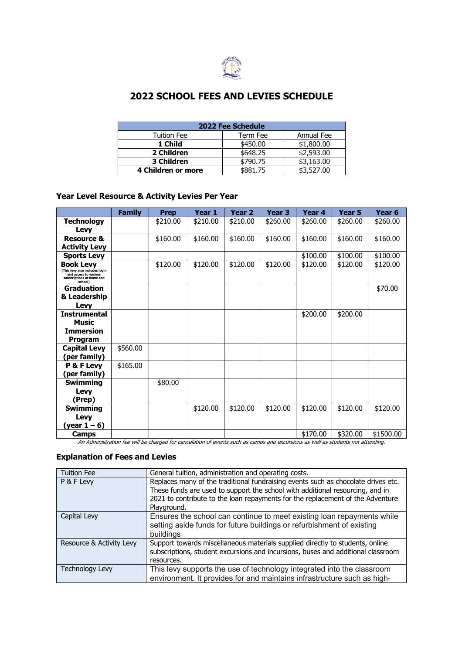

# **2022 SCHOOL FEES AND LEVIES SCHEDULE**

| 2022 Fee Schedule  |          |            |  |  |  |
|--------------------|----------|------------|--|--|--|
| <b>Tuition Fee</b> | Term Fee | Annual Fee |  |  |  |
| 1 Child            | \$450.00 | \$1,800.00 |  |  |  |
| 2 Children         | \$648.25 | \$2,593.00 |  |  |  |
| 3 Children         | \$790.75 | \$3,163.00 |  |  |  |
| 4 Children or more | \$881.75 | \$3,527.00 |  |  |  |

## **Year Level Resource & Activity Levies Per Year**

|                                                                                                                     | <b>Family</b> | <b>Prep</b> | Year 1   | Year 2   | Year 3   | Year 4   | Year 5   | Year <sub>6</sub> |
|---------------------------------------------------------------------------------------------------------------------|---------------|-------------|----------|----------|----------|----------|----------|-------------------|
| <b>Technology</b><br>Levy                                                                                           |               | \$210.00    | \$210.00 | \$210.00 | \$260.00 | \$260.00 | \$260.00 | \$260.00          |
| Resource &<br><b>Activity Levy</b>                                                                                  |               | \$160.00    | \$160.00 | \$160.00 | \$160.00 | \$160.00 | \$160.00 | \$160.00          |
| <b>Sports Levy</b>                                                                                                  |               |             |          |          |          | \$100.00 | \$100.00 | \$100.00          |
| <b>Book Levy</b><br>(This levy also includes login<br>and access to various<br>subscriptions at home and<br>school) |               | \$120.00    | \$120.00 | \$120.00 | \$120.00 | \$120.00 | \$120.00 | \$120.00          |
| <b>Graduation</b><br>& Leadership<br>Levy                                                                           |               |             |          |          |          |          |          | \$70.00           |
| <b>Instrumental</b><br><b>Music</b><br><b>Immersion</b><br>Program                                                  |               |             |          |          |          | \$200.00 | \$200.00 |                   |
| <b>Capital Levy</b><br>(per family)                                                                                 | \$560.00      |             |          |          |          |          |          |                   |
| P & F Levy<br>(per family)                                                                                          | \$165.00      |             |          |          |          |          |          |                   |
| <b>Swimming</b><br>Levy<br>(Prep)                                                                                   |               | \$80.00     |          |          |          |          |          |                   |
| <b>Swimming</b><br>Levy<br>(year $1 - 6$ )                                                                          |               |             | \$120.00 | \$120.00 | \$120.00 | \$120.00 | \$120.00 | \$120.00          |
| Camps                                                                                                               |               |             |          |          |          | \$170.00 | \$320.00 | \$1500.00         |

An Administration fee will be charged for cancelation of events such as camps and excursions as well as students not attending.

## **Explanation of Fees and Levies**

| <b>Tuition Fee</b>       | General tuition, administration and operating costs.                                                                                                                                                                                                                |
|--------------------------|---------------------------------------------------------------------------------------------------------------------------------------------------------------------------------------------------------------------------------------------------------------------|
| P & F Levy               | Replaces many of the traditional fundraising events such as chocolate drives etc.<br>These funds are used to support the school with additional resourcing, and in<br>2021 to contribute to the loan repayments for the replacement of the Adventure<br>Playground. |
| Capital Levy             | Ensures the school can continue to meet existing loan repayments while<br>setting aside funds for future buildings or refurbishment of existing<br>buildings                                                                                                        |
| Resource & Activity Levy | Support towards miscellaneous materials supplied directly to students, online<br>subscriptions, student excursions and incursions, buses and additional classroom<br>resources.                                                                                     |
| <b>Technology Levy</b>   | This levy supports the use of technology integrated into the classroom<br>environment. It provides for and maintains infrastructure such as high-                                                                                                                   |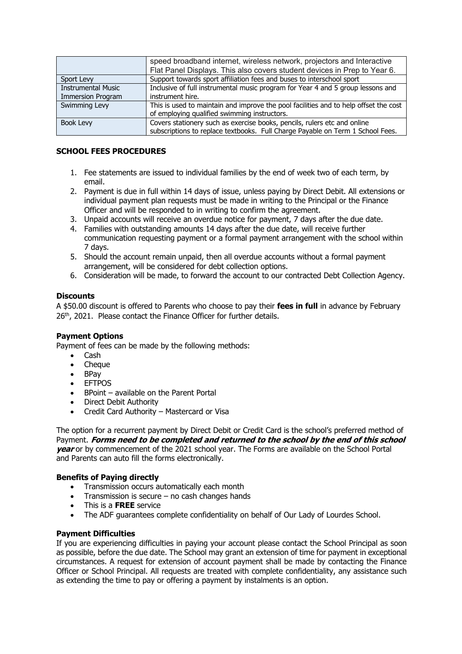|                           | speed broadband internet, wireless network, projectors and Interactive               |
|---------------------------|--------------------------------------------------------------------------------------|
|                           | Flat Panel Displays. This also covers student devices in Prep to Year 6.             |
| Sport Levy                | Support towards sport affiliation fees and buses to interschool sport                |
| <b>Instrumental Music</b> | Inclusive of full instrumental music program for Year 4 and 5 group lessons and      |
| <b>Immersion Program</b>  | instrument hire.                                                                     |
| Swimming Levy             | This is used to maintain and improve the pool facilities and to help offset the cost |
|                           | of employing qualified swimming instructors.                                         |
| Book Levy                 | Covers stationery such as exercise books, pencils, rulers etc and online             |
|                           | subscriptions to replace textbooks. Full Charge Payable on Term 1 School Fees.       |

## **SCHOOL FEES PROCEDURES**

- 1. Fee statements are issued to individual families by the end of week two of each term, by email.
- 2. Payment is due in full within 14 days of issue, unless paying by Direct Debit. All extensions or individual payment plan requests must be made in writing to the Principal or the Finance Officer and will be responded to in writing to confirm the agreement.
- 3. Unpaid accounts will receive an overdue notice for payment, 7 days after the due date.
- 4. Families with outstanding amounts 14 days after the due date, will receive further communication requesting payment or a formal payment arrangement with the school within 7 days.
- 5. Should the account remain unpaid, then all overdue accounts without a formal payment arrangement, will be considered for debt collection options.
- 6. Consideration will be made, to forward the account to our contracted Debt Collection Agency.

## **Discounts**

A \$50.00 discount is offered to Parents who choose to pay their **fees in full** in advance by February 26<sup>th</sup>, 2021. Please contact the Finance Officer for further details.

#### **Payment Options**

Payment of fees can be made by the following methods:

- Cash
- Cheque
- BPay
- EFTPOS
- BPoint available on the Parent Portal
- Direct Debit Authority
- Credit Card Authority Mastercard or Visa

The option for a recurrent payment by Direct Debit or Credit Card is the school's preferred method of Payment. **Forms need to be completed and returned to the school by the end of this school year** or by commencement of the 2021 school year. The Forms are available on the School Portal and Parents can auto fill the forms electronically.

#### **Benefits of Paying directly**

- Transmission occurs automatically each month
- Transmission is secure no cash changes hands
- This is a **FREE** service
- The ADF quarantees complete confidentiality on behalf of Our Lady of Lourdes School.

#### **Payment Difficulties**

If you are experiencing difficulties in paying your account please contact the School Principal as soon as possible, before the due date. The School may grant an extension of time for payment in exceptional circumstances. A request for extension of account payment shall be made by contacting the Finance Officer or School Principal. All requests are treated with complete confidentiality, any assistance such as extending the time to pay or offering a payment by instalments is an option.